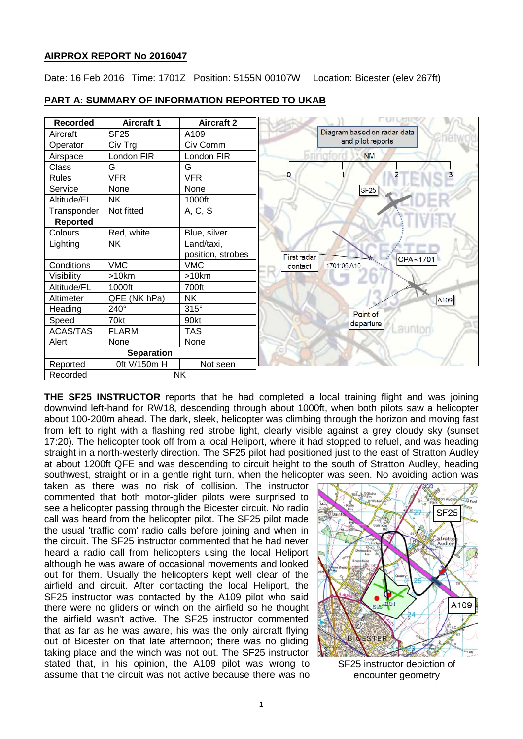# **AIRPROX REPORT No 2016047**

Date: 16 Feb 2016 Time: 1701Z Position: 5155N 00107W Location: Bicester (elev 267ft)



### **PART A: SUMMARY OF INFORMATION REPORTED TO UKAB**

**THE SF25 INSTRUCTOR** reports that he had completed a local training flight and was joining downwind left-hand for RW18, descending through about 1000ft, when both pilots saw a helicopter about 100-200m ahead. The dark, sleek, helicopter was climbing through the horizon and moving fast from left to right with a flashing red strobe light, clearly visible against a grey cloudy sky (sunset 17:20). The helicopter took off from a local Heliport, where it had stopped to refuel, and was heading straight in a north-westerly direction. The SF25 pilot had positioned just to the east of Stratton Audley at about 1200ft QFE and was descending to circuit height to the south of Stratton Audley, heading southwest, straight or in a gentle right turn, when the helicopter was seen. No avoiding action was

taken as there was no risk of collision. The instructor commented that both motor-glider pilots were surprised to see a helicopter passing through the Bicester circuit. No radio call was heard from the helicopter pilot. The SF25 pilot made the usual 'traffic com' radio calls before joining and when in the circuit. The SF25 instructor commented that he had never heard a radio call from helicopters using the local Heliport although he was aware of occasional movements and looked out for them. Usually the helicopters kept well clear of the airfield and circuit. After contacting the local Heliport, the SF25 instructor was contacted by the A109 pilot who said there were no gliders or winch on the airfield so he thought the airfield wasn't active. The SF25 instructor commented that as far as he was aware, his was the only aircraft flying out of Bicester on that late afternoon; there was no gliding taking place and the winch was not out. The SF25 instructor stated that, in his opinion, the A109 pilot was wrong to assume that the circuit was not active because there was no



SF25 instructor depiction of encounter geometry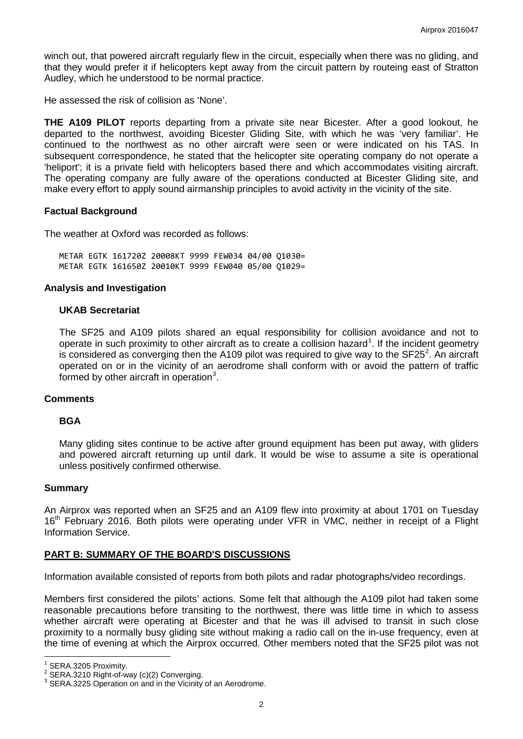winch out, that powered aircraft regularly flew in the circuit, especially when there was no gliding, and that they would prefer it if helicopters kept away from the circuit pattern by routeing east of Stratton Audley, which he understood to be normal practice.

He assessed the risk of collision as 'None'.

**THE A109 PILOT** reports departing from a private site near Bicester. After a good lookout, he departed to the northwest, avoiding Bicester Gliding Site, with which he was 'very familiar'. He continued to the northwest as no other aircraft were seen or were indicated on his TAS. In subsequent correspondence, he stated that the helicopter site operating company do not operate a 'heliport'; it is a private field with helicopters based there and which accommodates visiting aircraft. The operating company are fully aware of the operations conducted at Bicester Gliding site, and make every effort to apply sound airmanship principles to avoid activity in the vicinity of the site.

# **Factual Background**

The weather at Oxford was recorded as follows:

METAR EGTK 161720Z 20008KT 9999 FEW034 04/00 Q1030= METAR EGTK 161650Z 20010KT 9999 FEW040 05/00 Q1029=

### **Analysis and Investigation**

### **UKAB Secretariat**

The SF25 and A109 pilots shared an equal responsibility for collision avoidance and not to operate in such proximity to other aircraft as to create a collision hazard<sup>[1](#page-1-0)</sup>. If the incident geometry is considered as converging then the A109 pilot was required to give way to the SF[2](#page-1-1)5<sup>2</sup>. An aircraft operated on or in the vicinity of an aerodrome shall conform with or avoid the pattern of traffic formed by other aircraft in operation<sup>[3](#page-1-2)</sup>.

#### **Comments**

#### **BGA**

Many gliding sites continue to be active after ground equipment has been put away, with gliders and powered aircraft returning up until dark. It would be wise to assume a site is operational unless positively confirmed otherwise.

#### **Summary**

An Airprox was reported when an SF25 and an A109 flew into proximity at about 1701 on Tuesday 16<sup>th</sup> February 2016. Both pilots were operating under VFR in VMC, neither in receipt of a Flight Information Service.

# **PART B: SUMMARY OF THE BOARD'S DISCUSSIONS**

Information available consisted of reports from both pilots and radar photographs/video recordings.

Members first considered the pilots' actions. Some felt that although the A109 pilot had taken some reasonable precautions before transiting to the northwest, there was little time in which to assess whether aircraft were operating at Bicester and that he was ill advised to transit in such close proximity to a normally busy gliding site without making a radio call on the in-use frequency, even at the time of evening at which the Airprox occurred. Other members noted that the SF25 pilot was not

<span id="page-1-2"></span><span id="page-1-1"></span>

<span id="page-1-0"></span><sup>&</sup>lt;sup>1</sup> SERA.3205 Proximity.<br><sup>2</sup> SERA.3210 Right-of-way (c)(2) Converging.<br><sup>3</sup> SERA.3225 Operation on and in the Vicinity of an Aerodrome.